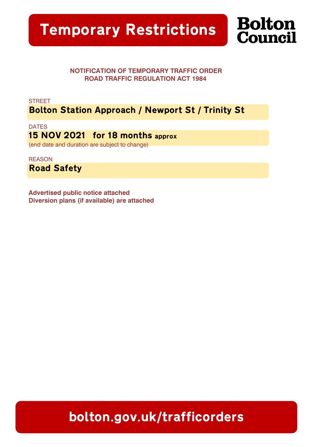

## NOTIFICATION OF TEMPORARY TRAFFIC ORDER ROAD TRAFFIC REGULATION ACT 1984

**STREET** 

Bolton Station Approach / Newport St / Trinity St

**DATES** 15 NOV 2021 for 18 months approx (end date and duration are subject to change)

**REASON** Road Safety

Advertised public notice attached Diversion plans (if available) are attached

bolton.gov.uk/trafficorders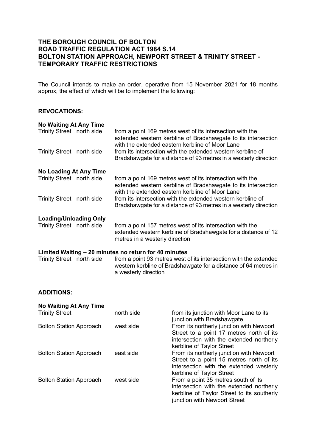## **THE BOROUGH COUNCIL OF BOLTON ROAD TRAFFIC REGULATION ACT 1984 S.14 BOLTON STATION APPROACH, NEWPORT STREET & TRINITY STREET - TEMPORARY TRAFFIC RESTRICTIONS**

The Council intends to make an order, operative from 15 November 2021 for 18 months approx, the effect of which will be to implement the following:

## **REVOCATIONS:**

| <b>No Waiting At Any Time</b>                         |  |                                                                                                                                                                               |  |  |  |
|-------------------------------------------------------|--|-------------------------------------------------------------------------------------------------------------------------------------------------------------------------------|--|--|--|
| Trinity Street north side                             |  | from a point 169 metres west of its intersection with the<br>extended western kerbline of Bradshawgate to its intersection<br>with the extended eastern kerbline of Moor Lane |  |  |  |
| Trinity Street north side                             |  | from its intersection with the extended western kerbline of<br>Bradshawgate for a distance of 93 metres in a westerly direction                                               |  |  |  |
| No Loading At Any Time                                |  |                                                                                                                                                                               |  |  |  |
| Trinity Street north side                             |  | from a point 169 metres west of its intersection with the<br>extended western kerbline of Bradshawgate to its intersection<br>with the extended eastern kerbline of Moor Lane |  |  |  |
| Trinity Street north side                             |  | from its intersection with the extended western kerbline of<br>Bradshawgate for a distance of 93 metres in a westerly direction                                               |  |  |  |
| <b>Loading/Unloading Only</b>                         |  |                                                                                                                                                                               |  |  |  |
| Trinity Street north side                             |  | from a point 157 metres west of its intersection with the<br>extended western kerbline of Bradshawgate for a distance of 12<br>metres in a westerly direction                 |  |  |  |
| Limited Waiting – 20 minutes no return for 40 minutes |  |                                                                                                                                                                               |  |  |  |

Trinity Street north side from a point 93 metres west of its intersection with the extended western kerbline of Bradshawgate for a distance of 64 metres in a westerly direction

## **ADDITIONS:**

| <b>No Waiting At Any Time</b>  |            |                                                                                                                                                               |
|--------------------------------|------------|---------------------------------------------------------------------------------------------------------------------------------------------------------------|
| <b>Trinity Street</b>          | north side | from its junction with Moor Lane to its<br>junction with Bradshawgate                                                                                         |
| <b>Bolton Station Approach</b> | west side  | From its northerly junction with Newport<br>Street to a point 17 metres north of its<br>intersection with the extended northerly<br>kerbline of Taylor Street |
| <b>Bolton Station Approach</b> | east side  | From its northerly junction with Newport<br>Street to a point 15 metres north of its<br>intersection with the extended westerly<br>kerbline of Taylor Street  |
| <b>Bolton Station Approach</b> | west side  | From a point 35 metres south of its<br>intersection with the extended northerly<br>kerbline of Taylor Street to its southerly<br>junction with Newport Street |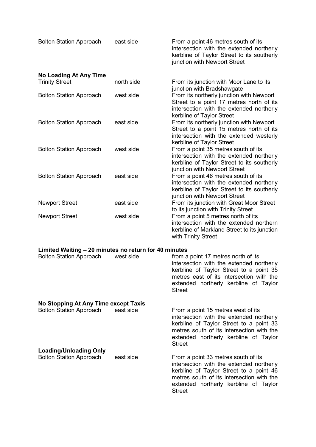| <b>Bolton Station Approach</b>                                       | east side | From a point 46 metres south of its<br>intersection with the extended northerly<br>kerbline of Taylor Street to its southerly<br>junction with Newport Street                                                                     |  |  |  |
|----------------------------------------------------------------------|-----------|-----------------------------------------------------------------------------------------------------------------------------------------------------------------------------------------------------------------------------------|--|--|--|
| <b>No Loading At Any Time</b><br>north side<br><b>Trinity Street</b> |           | From its junction with Moor Lane to its                                                                                                                                                                                           |  |  |  |
| <b>Bolton Station Approach</b>                                       | west side | junction with Bradshawgate<br>From its northerly junction with Newport<br>Street to a point 17 metres north of its<br>intersection with the extended northerly                                                                    |  |  |  |
| <b>Bolton Station Approach</b>                                       | east side | kerbline of Taylor Street<br>From its northerly junction with Newport<br>Street to a point 15 metres north of its<br>intersection with the extended westerly                                                                      |  |  |  |
| <b>Bolton Station Approach</b>                                       | west side | kerbline of Taylor Street<br>From a point 35 metres south of its<br>intersection with the extended northerly<br>kerbline of Taylor Street to its southerly                                                                        |  |  |  |
| <b>Bolton Station Approach</b>                                       | east side | junction with Newport Street<br>From a point 46 metres south of its<br>intersection with the extended northerly<br>kerbline of Taylor Street to its southerly                                                                     |  |  |  |
| <b>Newport Street</b>                                                | east side | junction with Newport Street<br>From its junction with Great Moor Street                                                                                                                                                          |  |  |  |
| <b>Newport Street</b>                                                | west side | to its junction with Trinity Street<br>From a point 5 metres north of its<br>intersection with the extended northern<br>kerbline of Markland Street to its junction<br>with Trinity Street                                        |  |  |  |
| Limited Waiting - 20 minutes no return for 40 minutes                |           |                                                                                                                                                                                                                                   |  |  |  |
| <b>Bolton Station Approach</b>                                       | west side | from a point 17 metres north of its<br>intersection with the extended northerly<br>kerbline of Taylor Street to a point 35<br>metres east of its intersection with the<br>extended northerly kerbline of Taylor<br><b>Street</b>  |  |  |  |
| No Stopping At Any Time except Taxis                                 |           |                                                                                                                                                                                                                                   |  |  |  |
| <b>Bolton Station Approach</b>                                       | east side | From a point 15 metres west of its<br>intersection with the extended northerly<br>kerbline of Taylor Street to a point 33<br>metres south of its intersection with the<br>extended northerly kerbline of Taylor<br><b>Street</b>  |  |  |  |
| <b>Loading/Unloading Only</b><br><b>Bolton Staiton Approach</b>      | east side | From a point 33 metres south of its<br>intersection with the extended northerly<br>kerbline of Taylor Street to a point 46<br>metres south of its intersection with the<br>extended northerly kerbline of Taylor<br><b>Street</b> |  |  |  |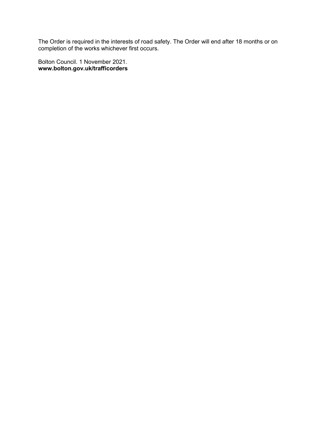The Order is required in the interests of road safety. The Order will end after 18 months or on completion of the works whichever first occurs.

Bolton Council. 1 November 2021. **www.bolton.gov.uk/trafficorders**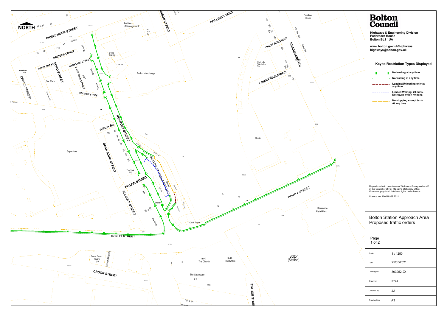